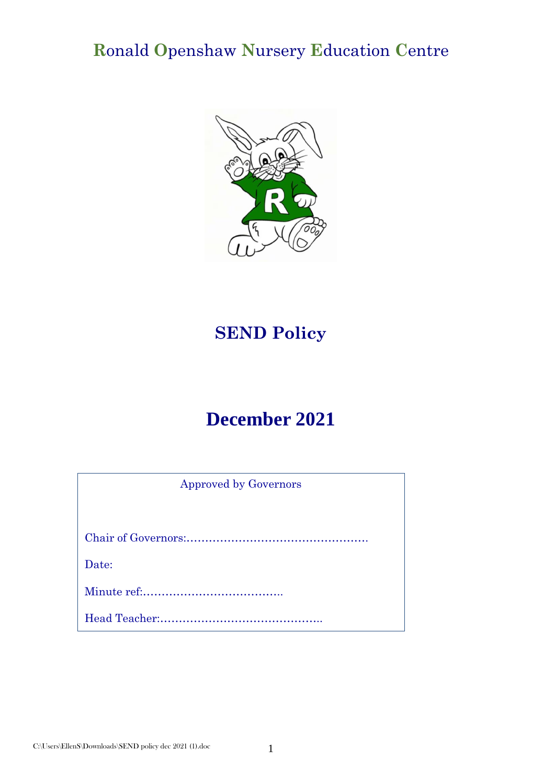# **R**onald **O**penshaw **N**ursery **E**ducation **C**entre



# **SEND Policy**

# **December 2021**

| <b>Approved by Governors</b> |  |
|------------------------------|--|
|                              |  |
|                              |  |
| Date:                        |  |
|                              |  |
|                              |  |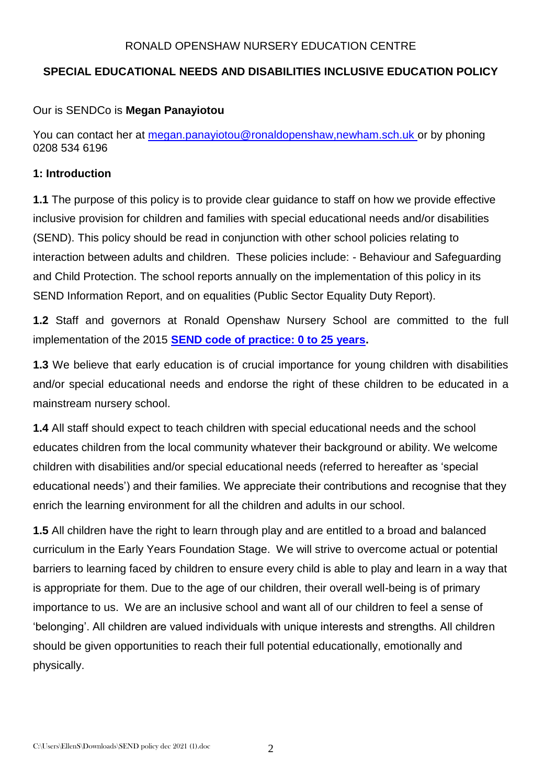#### RONALD OPENSHAW NURSERY EDUCATION CENTRE

# **SPECIAL EDUCATIONAL NEEDS AND DISABILITIES INCLUSIVE EDUCATION POLICY**

#### Our is SENDCo is **Megan Panayiotou**

You can contact her at [megan.panayiotou@ronaldopenshaw,newham.sch.uk](mailto:megan.panayiotou@ronaldopenshaw,newham.sch.uk) or by phoning 0208 534 6196

#### **1: Introduction**

**1.1** The purpose of this policy is to provide clear guidance to staff on how we provide effective inclusive provision for children and families with special educational needs and/or disabilities (SEND). This policy should be read in conjunction with other school policies relating to interaction between adults and children. These policies include: - Behaviour and Safeguarding and Child Protection. The school reports annually on the implementation of this policy in its SEND Information Report, and on equalities (Public Sector Equality Duty Report).

**1.2** Staff and governors at Ronald Openshaw Nursery School are committed to the full implementation of the 2015 **[SEND code of practice: 0 to 25 years.](https://www.gov.uk/government/publications/send-code-of-practice-0-to-25)**

**1.3** We believe that early education is of crucial importance for young children with disabilities and/or special educational needs and endorse the right of these children to be educated in a mainstream nursery school.

**1.4** All staff should expect to teach children with special educational needs and the school educates children from the local community whatever their background or ability. We welcome children with disabilities and/or special educational needs (referred to hereafter as 'special educational needs') and their families. We appreciate their contributions and recognise that they enrich the learning environment for all the children and adults in our school.

**1.5** All children have the right to learn through play and are entitled to a broad and balanced curriculum in the Early Years Foundation Stage. We will strive to overcome actual or potential barriers to learning faced by children to ensure every child is able to play and learn in a way that is appropriate for them. Due to the age of our children, their overall well-being is of primary importance to us. We are an inclusive school and want all of our children to feel a sense of 'belonging'. All children are valued individuals with unique interests and strengths. All children should be given opportunities to reach their full potential educationally, emotionally and physically.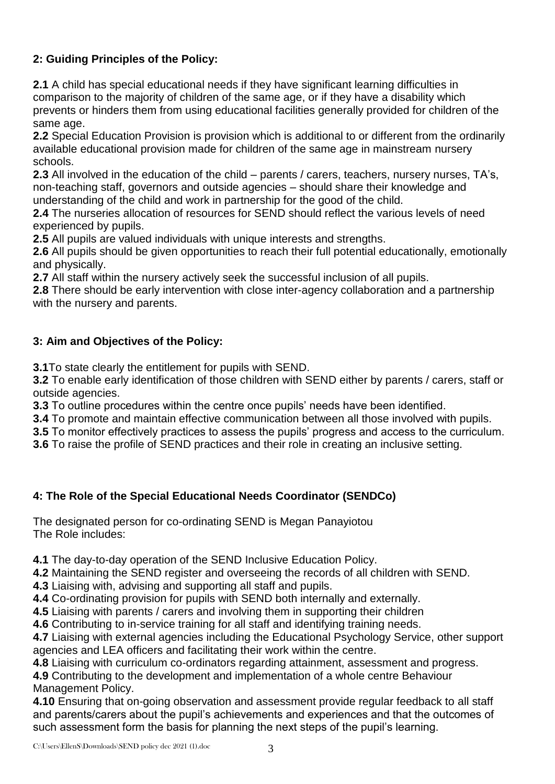# **2: Guiding Principles of the Policy:**

**2.1** A child has special educational needs if they have significant learning difficulties in comparison to the majority of children of the same age, or if they have a disability which prevents or hinders them from using educational facilities generally provided for children of the same age.

**2.2** Special Education Provision is provision which is additional to or different from the ordinarily available educational provision made for children of the same age in mainstream nursery schools.

**2.3** All involved in the education of the child – parents / carers, teachers, nursery nurses, TA's, non-teaching staff, governors and outside agencies – should share their knowledge and understanding of the child and work in partnership for the good of the child.

**2.4** The nurseries allocation of resources for SEND should reflect the various levels of need experienced by pupils.

**2.5** All pupils are valued individuals with unique interests and strengths.

**2.6** All pupils should be given opportunities to reach their full potential educationally, emotionally and physically.

**2.7** All staff within the nursery actively seek the successful inclusion of all pupils.

**2.8** There should be early intervention with close inter-agency collaboration and a partnership with the nursery and parents.

# **3: Aim and Objectives of the Policy:**

**3.1**To state clearly the entitlement for pupils with SEND.

**3.2** To enable early identification of those children with SEND either by parents / carers, staff or outside agencies.

**3.3** To outline procedures within the centre once pupils' needs have been identified.

**3.4** To promote and maintain effective communication between all those involved with pupils.

**3.5** To monitor effectively practices to assess the pupils' progress and access to the curriculum.

**3.6** To raise the profile of SEND practices and their role in creating an inclusive setting.

# **4: The Role of the Special Educational Needs Coordinator (SENDCo)**

The designated person for co-ordinating SEND is Megan Panayiotou The Role includes:

**4.1** The day-to-day operation of the SEND Inclusive Education Policy.

**4.2** Maintaining the SEND register and overseeing the records of all children with SEND.

**4.3** Liaising with, advising and supporting all staff and pupils.

**4.4** Co-ordinating provision for pupils with SEND both internally and externally.

**4.5** Liaising with parents / carers and involving them in supporting their children

**4.6** Contributing to in-service training for all staff and identifying training needs.

**4.7** Liaising with external agencies including the Educational Psychology Service, other support agencies and LEA officers and facilitating their work within the centre.

**4.8** Liaising with curriculum co-ordinators regarding attainment, assessment and progress.

**4.9** Contributing to the development and implementation of a whole centre Behaviour Management Policy.

**4.10** Ensuring that on-going observation and assessment provide regular feedback to all staff and parents/carers about the pupil's achievements and experiences and that the outcomes of such assessment form the basis for planning the next steps of the pupil's learning.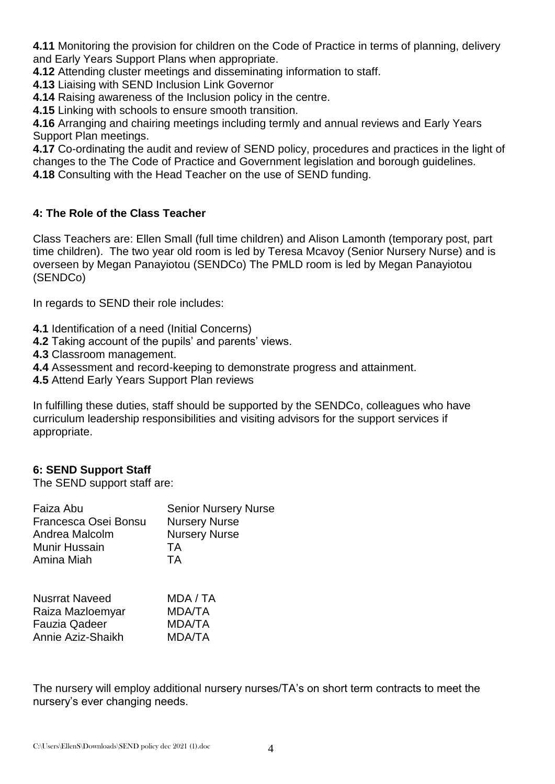**4.11** Monitoring the provision for children on the Code of Practice in terms of planning, delivery and Early Years Support Plans when appropriate.

**4.12** Attending cluster meetings and disseminating information to staff.

**4.13** Liaising with SEND Inclusion Link Governor

**4.14** Raising awareness of the Inclusion policy in the centre.

**4.15** Linking with schools to ensure smooth transition.

**4.16** Arranging and chairing meetings including termly and annual reviews and Early Years Support Plan meetings.

**4.17** Co-ordinating the audit and review of SEND policy, procedures and practices in the light of changes to the The Code of Practice and Government legislation and borough guidelines.

**4.18** Consulting with the Head Teacher on the use of SEND funding.

#### **4: The Role of the Class Teacher**

Class Teachers are: Ellen Small (full time children) and Alison Lamonth (temporary post, part time children). The two year old room is led by Teresa Mcavoy (Senior Nursery Nurse) and is overseen by Megan Panayiotou (SENDCo) The PMLD room is led by Megan Panayiotou (SENDCo)

In regards to SEND their role includes:

- **4.1** Identification of a need (Initial Concerns)
- **4.2** Taking account of the pupils' and parents' views.
- **4.3** Classroom management.
- **4.4** Assessment and record-keeping to demonstrate progress and attainment.
- **4.5** Attend Early Years Support Plan reviews

In fulfilling these duties, staff should be supported by the SENDCo, colleagues who have curriculum leadership responsibilities and visiting advisors for the support services if appropriate.

#### **6: SEND Support Staff**

The SEND support staff are:

| Faiza Abu<br>Francesca Osei Bonsu<br>Andrea Malcolm | <b>Senior Nursery Nurse</b><br><b>Nursery Nurse</b><br><b>Nursery Nurse</b> |
|-----------------------------------------------------|-----------------------------------------------------------------------------|
| Munir Hussain                                       | TA                                                                          |
| Amina Miah                                          | ТA                                                                          |
| <b>Nusrrat Naveed</b>                               | MDA / TA                                                                    |
| Raiza Mazloemyar                                    | MDA/TA                                                                      |
| <b>Fauzia Qadeer</b>                                | <b>MDA/TA</b>                                                               |

The nursery will employ additional nursery nurses/TA's on short term contracts to meet the nursery's ever changing needs.

Annie Aziz-Shaikh MDA/TA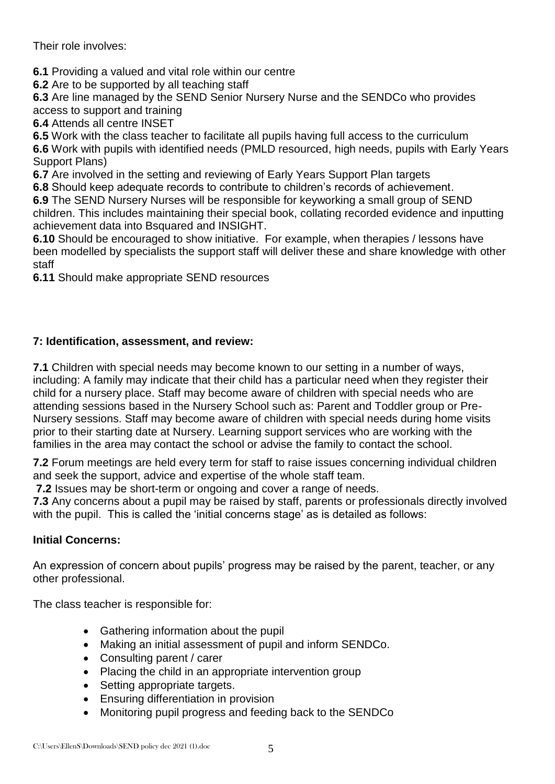Their role involves:

**6.1** Providing a valued and vital role within our centre

**6.2** Are to be supported by all teaching staff

**6.3** Are line managed by the SEND Senior Nursery Nurse and the SENDCo who provides access to support and training

**6.4** Attends all centre INSET

**6.5** Work with the class teacher to facilitate all pupils having full access to the curriculum

**6.6** Work with pupils with identified needs (PMLD resourced, high needs, pupils with Early Years Support Plans)

**6.7** Are involved in the setting and reviewing of Early Years Support Plan targets

**6.8** Should keep adequate records to contribute to children's records of achievement.

**6.9** The SEND Nursery Nurses will be responsible for keyworking a small group of SEND children. This includes maintaining their special book, collating recorded evidence and inputting achievement data into Bsquared and INSIGHT.

**6.10** Should be encouraged to show initiative. For example, when therapies / lessons have been modelled by specialists the support staff will deliver these and share knowledge with other staff

**6.11** Should make appropriate SEND resources

## **7: Identification, assessment, and review:**

**7.1** Children with special needs may become known to our setting in a number of ways, including: A family may indicate that their child has a particular need when they register their child for a nursery place. Staff may become aware of children with special needs who are attending sessions based in the Nursery School such as: Parent and Toddler group or Pre-Nursery sessions. Staff may become aware of children with special needs during home visits prior to their starting date at Nursery. Learning support services who are working with the families in the area may contact the school or advise the family to contact the school.

**7.2** Forum meetings are held every term for staff to raise issues concerning individual children and seek the support, advice and expertise of the whole staff team.

**7.2** Issues may be short-term or ongoing and cover a range of needs.

**7.3** Any concerns about a pupil may be raised by staff, parents or professionals directly involved with the pupil. This is called the 'initial concerns stage' as is detailed as follows:

## **Initial Concerns:**

An expression of concern about pupils' progress may be raised by the parent, teacher, or any other professional.

The class teacher is responsible for:

- Gathering information about the pupil
- Making an initial assessment of pupil and inform SENDCo.
- Consulting parent / carer
- Placing the child in an appropriate intervention group
- Setting appropriate targets.
- **Ensuring differentiation in provision**
- Monitoring pupil progress and feeding back to the SENDCo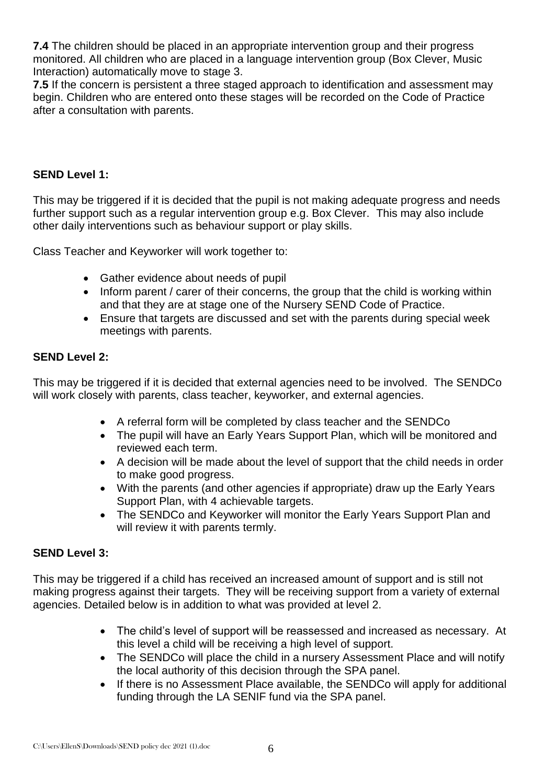**7.4** The children should be placed in an appropriate intervention group and their progress monitored. All children who are placed in a language intervention group (Box Clever, Music Interaction) automatically move to stage 3.

**7.5** If the concern is persistent a three staged approach to identification and assessment may begin. Children who are entered onto these stages will be recorded on the Code of Practice after a consultation with parents.

## **SEND Level 1:**

This may be triggered if it is decided that the pupil is not making adequate progress and needs further support such as a regular intervention group e.g. Box Clever. This may also include other daily interventions such as behaviour support or play skills.

Class Teacher and Keyworker will work together to:

- Gather evidence about needs of pupil
- Inform parent / carer of their concerns, the group that the child is working within and that they are at stage one of the Nursery SEND Code of Practice.
- Ensure that targets are discussed and set with the parents during special week meetings with parents.

## **SEND Level 2:**

This may be triggered if it is decided that external agencies need to be involved. The SENDCo will work closely with parents, class teacher, keyworker, and external agencies.

- A referral form will be completed by class teacher and the SENDCo
- The pupil will have an Early Years Support Plan, which will be monitored and reviewed each term.
- A decision will be made about the level of support that the child needs in order to make good progress.
- With the parents (and other agencies if appropriate) draw up the Early Years Support Plan, with 4 achievable targets.
- The SENDCo and Keyworker will monitor the Early Years Support Plan and will review it with parents termly.

## **SEND Level 3:**

This may be triggered if a child has received an increased amount of support and is still not making progress against their targets. They will be receiving support from a variety of external agencies. Detailed below is in addition to what was provided at level 2.

- The child's level of support will be reassessed and increased as necessary. At this level a child will be receiving a high level of support.
- The SENDCo will place the child in a nursery Assessment Place and will notify the local authority of this decision through the SPA panel.
- If there is no Assessment Place available, the SENDCo will apply for additional funding through the LA SENIF fund via the SPA panel.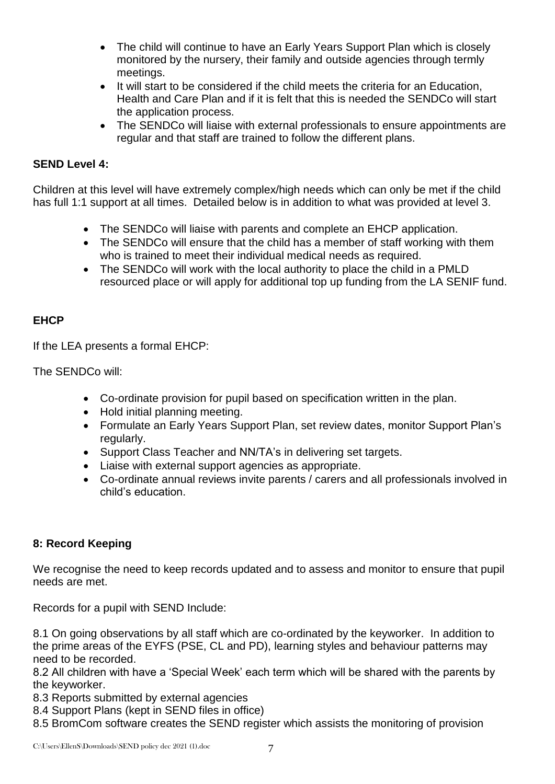- The child will continue to have an Early Years Support Plan which is closely monitored by the nursery, their family and outside agencies through termly meetings.
- It will start to be considered if the child meets the criteria for an Education, Health and Care Plan and if it is felt that this is needed the SENDCo will start the application process.
- The SENDCo will liaise with external professionals to ensure appointments are regular and that staff are trained to follow the different plans.

## **SEND Level 4:**

Children at this level will have extremely complex/high needs which can only be met if the child has full 1:1 support at all times. Detailed below is in addition to what was provided at level 3.

- The SENDCo will liaise with parents and complete an EHCP application.
- The SENDCo will ensure that the child has a member of staff working with them who is trained to meet their individual medical needs as required.
- The SENDCo will work with the local authority to place the child in a PMLD resourced place or will apply for additional top up funding from the LA SENIF fund.

# **EHCP**

If the LEA presents a formal EHCP:

The SENDCo will:

- Co-ordinate provision for pupil based on specification written in the plan.
- Hold initial planning meeting.
- Formulate an Early Years Support Plan, set review dates, monitor Support Plan's regularly.
- Support Class Teacher and NN/TA's in delivering set targets.
- Liaise with external support agencies as appropriate.
- Co-ordinate annual reviews invite parents / carers and all professionals involved in child's education.

## **8: Record Keeping**

We recognise the need to keep records updated and to assess and monitor to ensure that pupil needs are met.

Records for a pupil with SEND Include:

8.1 On going observations by all staff which are co-ordinated by the keyworker. In addition to the prime areas of the EYFS (PSE, CL and PD), learning styles and behaviour patterns may need to be recorded.

8.2 All children with have a 'Special Week' each term which will be shared with the parents by the keyworker.

- 8.3 Reports submitted by external agencies
- 8.4 Support Plans (kept in SEND files in office)
- 8.5 BromCom software creates the SEND register which assists the monitoring of provision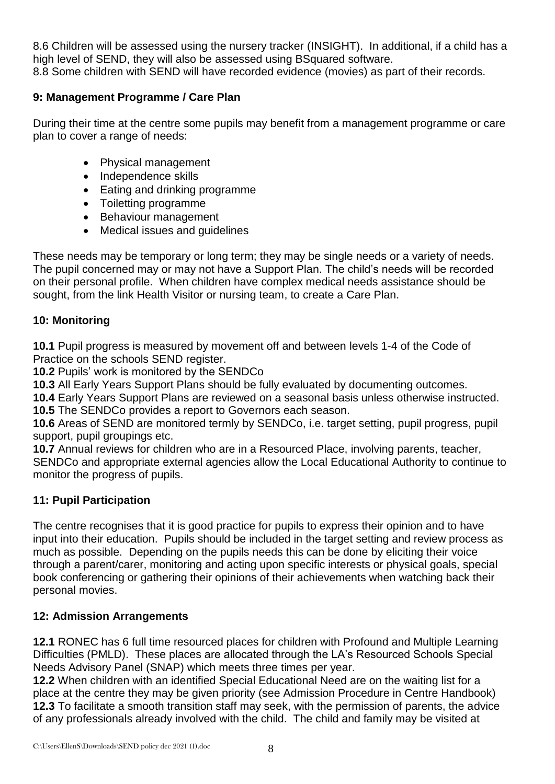8.6 Children will be assessed using the nursery tracker (INSIGHT). In additional, if a child has a high level of SEND, they will also be assessed using BSquared software. 8.8 Some children with SEND will have recorded evidence (movies) as part of their records.

## **9: Management Programme / Care Plan**

During their time at the centre some pupils may benefit from a management programme or care plan to cover a range of needs:

- Physical management
- Independence skills
- Eating and drinking programme
- Toiletting programme
- Behaviour management
- Medical issues and guidelines

These needs may be temporary or long term; they may be single needs or a variety of needs. The pupil concerned may or may not have a Support Plan. The child's needs will be recorded on their personal profile. When children have complex medical needs assistance should be sought, from the link Health Visitor or nursing team, to create a Care Plan.

## **10: Monitoring**

**10.1** Pupil progress is measured by movement off and between levels 1-4 of the Code of Practice on the schools SEND register.

**10.2** Pupils' work is monitored by the SENDCo

**10.3** All Early Years Support Plans should be fully evaluated by documenting outcomes.

**10.4** Early Years Support Plans are reviewed on a seasonal basis unless otherwise instructed. **10.5** The SENDCo provides a report to Governors each season.

**10.6** Areas of SEND are monitored termly by SENDCo, i.e. target setting, pupil progress, pupil support, pupil groupings etc.

**10.7** Annual reviews for children who are in a Resourced Place, involving parents, teacher, SENDCo and appropriate external agencies allow the Local Educational Authority to continue to monitor the progress of pupils.

# **11: Pupil Participation**

The centre recognises that it is good practice for pupils to express their opinion and to have input into their education. Pupils should be included in the target setting and review process as much as possible. Depending on the pupils needs this can be done by eliciting their voice through a parent/carer, monitoring and acting upon specific interests or physical goals, special book conferencing or gathering their opinions of their achievements when watching back their personal movies.

## **12: Admission Arrangements**

**12.1** RONEC has 6 full time resourced places for children with Profound and Multiple Learning Difficulties (PMLD). These places are allocated through the LA's Resourced Schools Special Needs Advisory Panel (SNAP) which meets three times per year.

**12.2** When children with an identified Special Educational Need are on the waiting list for a place at the centre they may be given priority (see Admission Procedure in Centre Handbook) **12.3** To facilitate a smooth transition staff may seek, with the permission of parents, the advice of any professionals already involved with the child. The child and family may be visited at